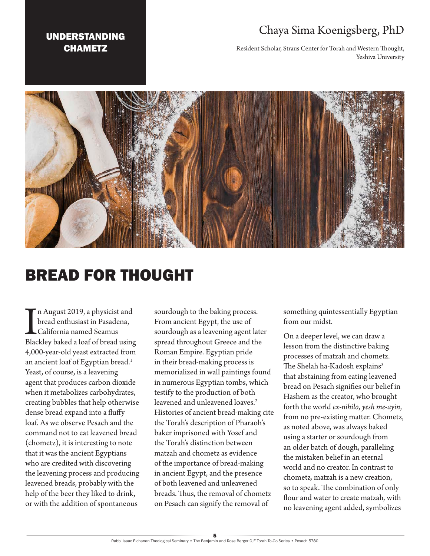### UNDERSTANDING **CHAMETZ**

## Chaya Sima Koenigsberg, PhD

Resident Scholar, Straus Center for Torah and Western Thought, Yeshiva University



# BREAD FOR THOUGHT

In August 2019, a physicist and<br>bread enthusiast in Pasadena,<br>California named Seamus<br>Blackley baked a loaf of bread using n August 2019, a physicist and bread enthusiast in Pasadena, California named Seamus 4,000-year-old yeast extracted from an ancient loaf of Egyptian bread.<sup>1</sup> Yeast, of course, is a leavening agent that produces carbon dioxide when it metabolizes carbohydrates, creating bubbles that help otherwise dense bread expand into a fluffy loaf. As we observe Pesach and the command not to eat leavened bread (chometz), it is interesting to note that it was the ancient Egyptians who are credited with discovering the leavening process and producing leavened breads, probably with the help of the beer they liked to drink, or with the addition of spontaneous

sourdough to the baking process. From ancient Egypt, the use of sourdough as a leavening agent later spread throughout Greece and the Roman Empire. Egyptian pride in their bread-making process is memorialized in wall paintings found in numerous Egyptian tombs, which testify to the production of both leavened and unleavened loaves.<sup>2</sup> Histories of ancient bread-making cite the Torah's description of Pharaoh's baker imprisoned with Yosef and the Torah's distinction between matzah and chometz as evidence of the importance of bread-making in ancient Egypt, and the presence of both leavened and unleavened breads. Thus, the removal of chometz on Pesach can signify the removal of

something quintessentially Egyptian from our midst.

On a deeper level, we can draw a lesson from the distinctive baking processes of matzah and chometz. The Shelah ha-Kadosh explains<sup>3</sup> that abstaining from eating leavened bread on Pesach signifies our belief in Hashem as the creator, who brought forth the world *ex-nihilo*, *yesh me-ayin*, from no pre-existing matter. Chometz, as noted above, was always baked using a starter or sourdough from an older batch of dough, paralleling the mistaken belief in an eternal world and no creator. In contrast to chometz*,* matzah is a new creation, so to speak. The combination of only flour and water to create matzah*,* with no leavening agent added, symbolizes